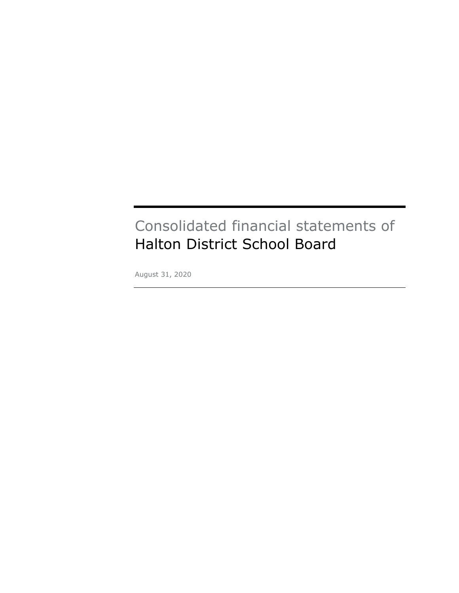# Consolidated financial statements of Halton District School Board

August 31, 2020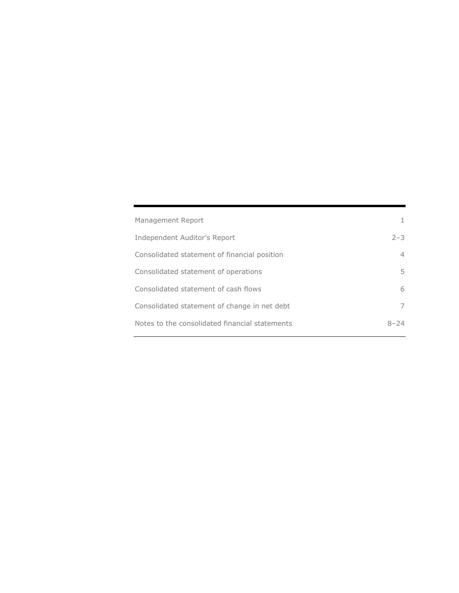| Management Report                              | 1.      |
|------------------------------------------------|---------|
| Independent Auditor's Report                   | $2 - 3$ |
| Consolidated statement of financial position   | 4       |
| Consolidated statement of operations           | 5.      |
| Consolidated statement of cash flows           | 6       |
| Consolidated statement of change in net debt   | 7       |
| Notes to the consolidated financial statements | 8–24    |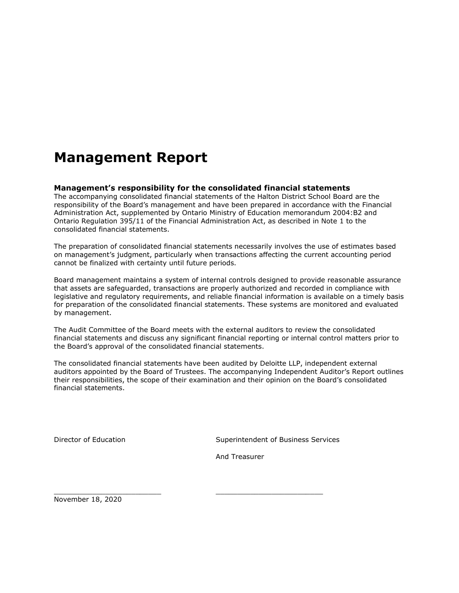# **Management Report**

#### **Management's responsibility for the consolidated financial statements**

The accompanying consolidated financial statements of the Halton District School Board are the responsibility of the Board's management and have been prepared in accordance with the Financial Administration Act, supplemented by Ontario Ministry of Education memorandum 2004:B2 and Ontario Regulation 395/11 of the Financial Administration Act, as described in Note 1 to the consolidated financial statements.

The preparation of consolidated financial statements necessarily involves the use of estimates based on management's judgment, particularly when transactions affecting the current accounting period cannot be finalized with certainty until future periods.

Board management maintains a system of internal controls designed to provide reasonable assurance that assets are safeguarded, transactions are properly authorized and recorded in compliance with legislative and regulatory requirements, and reliable financial information is available on a timely basis for preparation of the consolidated financial statements. These systems are monitored and evaluated by management.

The Audit Committee of the Board meets with the external auditors to review the consolidated financial statements and discuss any significant financial reporting or internal control matters prior to the Board's approval of the consolidated financial statements.

The consolidated financial statements have been audited by Deloitte LLP, independent external auditors appointed by the Board of Trustees. The accompanying Independent Auditor's Report outlines their responsibilities, the scope of their examination and their opinion on the Board's consolidated financial statements.

Director of Education **Superintendent of Business Services** Services

And Treasurer

\_\_\_\_\_\_\_\_\_\_\_\_\_\_\_\_\_\_\_\_\_\_\_\_\_ \_\_\_\_\_\_\_\_\_\_\_\_\_\_\_\_\_\_\_\_\_\_\_\_\_

November 18, 2020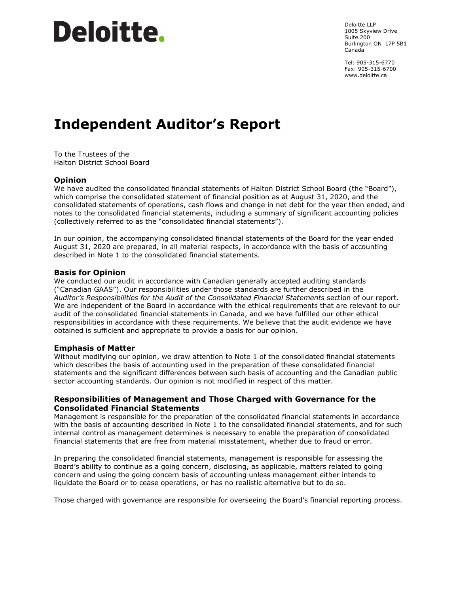# **Deloitte**.

Deloitte LLP 1005 Skyview Drive Suite 200 Burlington ON L7P 5B1 Canada

Tel: 905-315-6770 Fax: 905-315-6700 www.deloitte.ca

# **Independent Auditor's Report**

To the Trustees of the Halton District School Board

#### **Opinion**

We have audited the consolidated financial statements of Halton District School Board (the "Board"), which comprise the consolidated statement of financial position as at August 31, 2020, and the consolidated statements of operations, cash flows and change in net debt for the year then ended, and notes to the consolidated financial statements, including a summary of significant accounting policies (collectively referred to as the "consolidated financial statements").

In our opinion, the accompanying consolidated financial statements of the Board for the year ended August 31, 2020 are prepared, in all material respects, in accordance with the basis of accounting described in Note 1 to the consolidated financial statements.

#### **Basis for Opinion**

We conducted our audit in accordance with Canadian generally accepted auditing standards ("Canadian GAAS"). Our responsibilities under those standards are further described in the *Auditor's Responsibilities for the Audit of the Consolidated Financial Statements* section of our report. We are independent of the Board in accordance with the ethical requirements that are relevant to our audit of the consolidated financial statements in Canada, and we have fulfilled our other ethical responsibilities in accordance with these requirements. We believe that the audit evidence we have obtained is sufficient and appropriate to provide a basis for our opinion.

#### **Emphasis of Matter**

Without modifying our opinion, we draw attention to Note 1 of the consolidated financial statements which describes the basis of accounting used in the preparation of these consolidated financial statements and the significant differences between such basis of accounting and the Canadian public sector accounting standards. Our opinion is not modified in respect of this matter.

#### **Responsibilities of Management and Those Charged with Governance for the Consolidated Financial Statements**

Management is responsible for the preparation of the consolidated financial statements in accordance with the basis of accounting described in Note 1 to the consolidated financial statements, and for such internal control as management determines is necessary to enable the preparation of consolidated financial statements that are free from material misstatement, whether due to fraud or error.

In preparing the consolidated financial statements, management is responsible for assessing the Board's ability to continue as a going concern, disclosing, as applicable, matters related to going concern and using the going concern basis of accounting unless management either intends to liquidate the Board or to cease operations, or has no realistic alternative but to do so.

Those charged with governance are responsible for overseeing the Board's financial reporting process.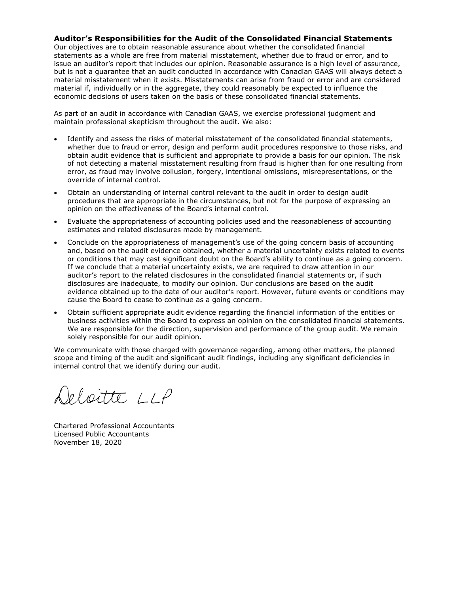#### **Auditor's Responsibilities for the Audit of the Consolidated Financial Statements**

Our objectives are to obtain reasonable assurance about whether the consolidated financial statements as a whole are free from material misstatement, whether due to fraud or error, and to issue an auditor's report that includes our opinion. Reasonable assurance is a high level of assurance, but is not a guarantee that an audit conducted in accordance with Canadian GAAS will always detect a material misstatement when it exists. Misstatements can arise from fraud or error and are considered material if, individually or in the aggregate, they could reasonably be expected to influence the economic decisions of users taken on the basis of these consolidated financial statements.

As part of an audit in accordance with Canadian GAAS, we exercise professional judgment and maintain professional skepticism throughout the audit. We also:

- Identify and assess the risks of material misstatement of the consolidated financial statements, whether due to fraud or error, design and perform audit procedures responsive to those risks, and obtain audit evidence that is sufficient and appropriate to provide a basis for our opinion. The risk of not detecting a material misstatement resulting from fraud is higher than for one resulting from error, as fraud may involve collusion, forgery, intentional omissions, misrepresentations, or the override of internal control.
- Obtain an understanding of internal control relevant to the audit in order to design audit procedures that are appropriate in the circumstances, but not for the purpose of expressing an opinion on the effectiveness of the Board's internal control.
- Evaluate the appropriateness of accounting policies used and the reasonableness of accounting estimates and related disclosures made by management.
- Conclude on the appropriateness of management's use of the going concern basis of accounting and, based on the audit evidence obtained, whether a material uncertainty exists related to events or conditions that may cast significant doubt on the Board's ability to continue as a going concern. If we conclude that a material uncertainty exists, we are required to draw attention in our auditor's report to the related disclosures in the consolidated financial statements or, if such disclosures are inadequate, to modify our opinion. Our conclusions are based on the audit evidence obtained up to the date of our auditor's report. However, future events or conditions may cause the Board to cease to continue as a going concern.
- Obtain sufficient appropriate audit evidence regarding the financial information of the entities or business activities within the Board to express an opinion on the consolidated financial statements. We are responsible for the direction, supervision and performance of the group audit. We remain solely responsible for our audit opinion.

We communicate with those charged with governance regarding, among other matters, the planned scope and timing of the audit and significant audit findings, including any significant deficiencies in internal control that we identify during our audit.

Deloitte LLP

Chartered Professional Accountants Licensed Public Accountants November 18, 2020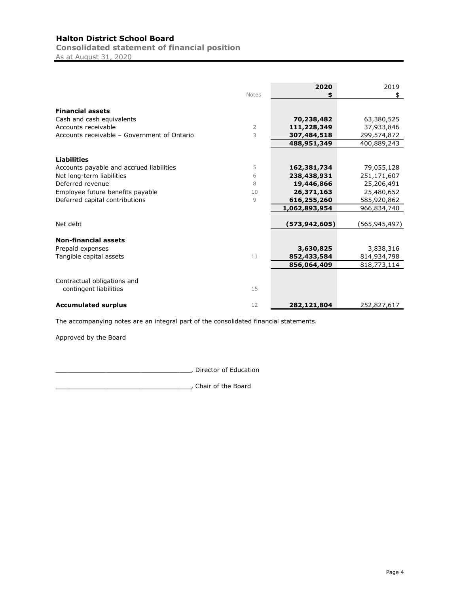**Consolidated statement of financial position**

As at August 31, 2020

|                                             |              | 2020          | 2019          |
|---------------------------------------------|--------------|---------------|---------------|
|                                             | <b>Notes</b> |               | \$            |
| <b>Financial assets</b>                     |              |               |               |
| Cash and cash equivalents                   |              | 70,238,482    | 63,380,525    |
| Accounts receivable                         | 2            | 111,228,349   | 37,933,846    |
| Accounts receivable - Government of Ontario | 3            | 307,484,518   | 299,574,872   |
|                                             |              | 488,951,349   | 400,889,243   |
|                                             |              |               |               |
| <b>Liabilities</b>                          |              |               |               |
| Accounts payable and accrued liabilities    | 5            | 162,381,734   | 79,055,128    |
| Net long-term liabilities                   | 6            | 238,438,931   | 251,171,607   |
| Deferred revenue                            | 8            | 19,446,866    | 25,206,491    |
| Employee future benefits payable            | 10           | 26,371,163    | 25,480,652    |
| Deferred capital contributions              | 9            | 616,255,260   | 585,920,862   |
|                                             |              | 1,062,893,954 | 966,834,740   |
| Net debt                                    |              | (573,942,605) | (565,945,497) |
| <b>Non-financial assets</b>                 |              |               |               |
| Prepaid expenses                            |              | 3,630,825     | 3,838,316     |
| Tangible capital assets                     | 11           | 852,433,584   | 814,934,798   |
|                                             |              | 856,064,409   | 818,773,114   |
|                                             |              |               |               |
| Contractual obligations and                 |              |               |               |
| contingent liabilities                      | 15           |               |               |
| <b>Accumulated surplus</b>                  | 12           | 282,121,804   | 252,827,617   |

The accompanying notes are an integral part of the consolidated financial statements.

Approved by the Board

\_\_\_\_\_\_\_\_\_\_\_\_\_\_\_\_\_\_\_\_\_\_\_\_\_\_\_\_\_\_\_\_\_\_\_, Director of Education

\_\_\_\_\_\_\_\_\_\_\_\_\_\_\_\_\_\_\_\_\_\_\_\_\_\_\_\_\_\_\_\_\_\_\_, Chair of the Board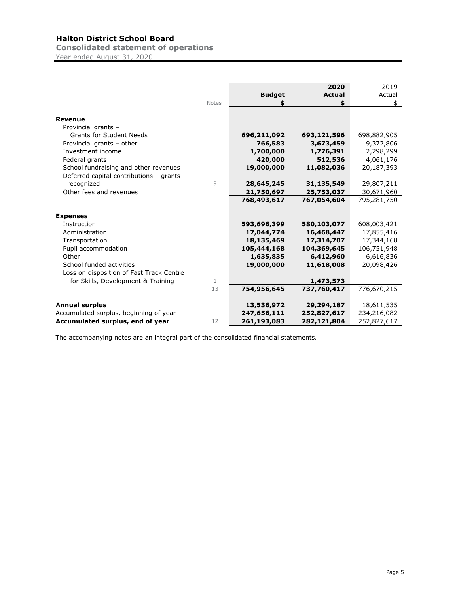**Consolidated statement of operations** Year ended August 31, 2020

|                                          | <b>Notes</b> | <b>Budget</b> | 2020<br><b>Actual</b><br>\$ | 2019<br>Actual<br>\$ |
|------------------------------------------|--------------|---------------|-----------------------------|----------------------|
| <b>Revenue</b>                           |              |               |                             |                      |
| Provincial grants -                      |              |               |                             |                      |
| <b>Grants for Student Needs</b>          |              | 696,211,092   | 693,121,596                 | 698,882,905          |
| Provincial grants - other                |              | 766,583       | 3,673,459                   | 9,372,806            |
| Investment income                        |              | 1,700,000     | 1,776,391                   | 2,298,299            |
| Federal grants                           |              | 420,000       | 512,536                     | 4,061,176            |
| School fundraising and other revenues    |              | 19,000,000    | 11,082,036                  | 20,187,393           |
| Deferred capital contributions - grants  |              |               |                             |                      |
| recognized                               | 9            | 28,645,245    | 31,135,549                  | 29,807,211           |
| Other fees and revenues                  |              | 21,750,697    | 25,753,037                  | 30,671,960           |
|                                          |              | 768,493,617   | 767,054,604                 | 795,281,750          |
| <b>Expenses</b>                          |              |               |                             |                      |
| Instruction                              |              | 593,696,399   | 580,103,077                 | 608,003,421          |
| Administration                           |              | 17,044,774    | 16,468,447                  | 17,855,416           |
| Transportation                           |              | 18,135,469    | 17,314,707                  | 17,344,168           |
| Pupil accommodation                      |              | 105,444,168   | 104,369,645                 | 106,751,948          |
| Other                                    |              | 1,635,835     | 6,412,960                   | 6,616,836            |
| School funded activities                 |              | 19,000,000    | 11,618,008                  | 20,098,426           |
| Loss on disposition of Fast Track Centre |              |               |                             |                      |
| for Skills, Development & Training       | 1            |               | 1,473,573                   |                      |
|                                          | 13           | 754,956,645   | 737,760,417                 | 776,670,215          |
|                                          |              |               |                             |                      |
| <b>Annual surplus</b>                    |              | 13,536,972    | 29,294,187                  | 18,611,535           |
| Accumulated surplus, beginning of year   |              | 247,656,111   | 252,827,617                 | 234,216,082          |
| Accumulated surplus, end of year         | 12           | 261,193,083   | 282,121,804                 | 252,827,617          |

The accompanying notes are an integral part of the consolidated financial statements.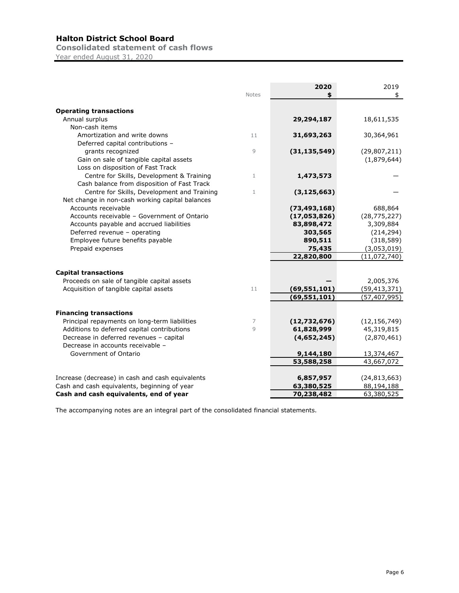**Consolidated statement of cash flows**

Year ended August 31, 2020

|                                                  |              | 2020           | 2019                         |
|--------------------------------------------------|--------------|----------------|------------------------------|
|                                                  | <b>Notes</b> |                | \$                           |
|                                                  |              |                |                              |
| <b>Operating transactions</b><br>Annual surplus  |              | 29,294,187     | 18,611,535                   |
| Non-cash items                                   |              |                |                              |
|                                                  |              |                |                              |
| Amortization and write downs                     | 11           | 31,693,263     | 30,364,961                   |
| Deferred capital contributions -                 |              |                |                              |
| grants recognized                                | 9            | (31, 135, 549) | (29, 807, 211)               |
| Gain on sale of tangible capital assets          |              |                | (1,879,644)                  |
| Loss on disposition of Fast Track                |              |                |                              |
| Centre for Skills, Development & Training        | 1            | 1,473,573      |                              |
| Cash balance from disposition of Fast Track      |              |                |                              |
| Centre for Skills, Development and Training      | 1            | (3, 125, 663)  |                              |
| Net change in non-cash working capital balances  |              |                |                              |
| Accounts receivable                              |              | (73, 493, 168) | 688,864                      |
| Accounts receivable - Government of Ontario      |              | (17,053,826)   | (28, 775, 227)               |
| Accounts payable and accrued liabilities         |              | 83,898,472     | 3,309,884                    |
| Deferred revenue - operating                     |              | 303,565        | (214, 294)                   |
| Employee future benefits payable                 |              | 890,511        | (318, 589)                   |
| Prepaid expenses                                 |              | 75,435         | (3,053,019)                  |
|                                                  |              | 22,820,800     | (11,072,740)                 |
|                                                  |              |                |                              |
| <b>Capital transactions</b>                      |              |                |                              |
| Proceeds on sale of tangible capital assets      |              |                | 2,005,376                    |
| Acquisition of tangible capital assets           | 11           | (69, 551, 101) | (59, 413, 371)               |
|                                                  |              | (69, 551, 101) | (57, 407, 995)               |
| <b>Financing transactions</b>                    |              |                |                              |
| Principal repayments on long-term liabilities    | 7            |                |                              |
|                                                  | 9            | (12,732,676)   | (12, 156, 749)<br>45,319,815 |
| Additions to deferred capital contributions      |              | 61,828,999     |                              |
| Decrease in deferred revenues - capital          |              | (4,652,245)    | (2,870,461)                  |
| Decrease in accounts receivable -                |              |                |                              |
| Government of Ontario                            |              | 9,144,180      | 13,374,467                   |
|                                                  |              | 53,588,258     | 43,667,072                   |
| Increase (decrease) in cash and cash equivalents |              | 6,857,957      | (24, 813, 663)               |
| Cash and cash equivalents, beginning of year     |              | 63,380,525     | 88,194,188                   |
| Cash and cash equivalents, end of year           |              | 70,238,482     | 63,380,525                   |

The accompanying notes are an integral part of the consolidated financial statements.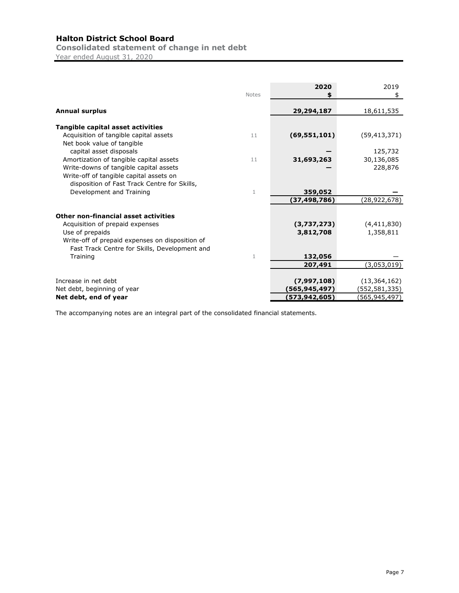**Consolidated statement of change in net debt**

Year ended August 31, 2020

|                                                 |              | 2020           | 2019           |
|-------------------------------------------------|--------------|----------------|----------------|
|                                                 | <b>Notes</b> |                | \$             |
| <b>Annual surplus</b>                           |              | 29,294,187     | 18,611,535     |
| Tangible capital asset activities               |              |                |                |
| Acquisition of tangible capital assets          | 11           | (69, 551, 101) | (59, 413, 371) |
| Net book value of tangible                      |              |                |                |
| capital asset disposals                         |              |                | 125,732        |
| Amortization of tangible capital assets         | 11           | 31,693,263     | 30,136,085     |
| Write-downs of tangible capital assets          |              |                | 228,876        |
| Write-off of tangible capital assets on         |              |                |                |
| disposition of Fast Track Centre for Skills,    |              |                |                |
| Development and Training                        | $\mathbf{1}$ | 359,052        |                |
|                                                 |              | (37,498,786)   | (28,922,678)   |
| Other non-financial asset activities            |              |                |                |
| Acquisition of prepaid expenses                 |              | (3,737,273)    | (4,411,830)    |
| Use of prepaids                                 |              | 3,812,708      | 1,358,811      |
| Write-off of prepaid expenses on disposition of |              |                |                |
| Fast Track Centre for Skills, Development and   |              |                |                |
| Training                                        | 1            | 132,056        |                |
|                                                 |              | 207,491        | (3,053,019)    |
|                                                 |              |                |                |
| Increase in net debt                            |              | (7,997,108)    | (13, 364, 162) |
| Net debt, beginning of year                     |              | (565,945,497)  | (552,581,335)  |
| Net debt, end of year                           |              | (573,942,605)  | (565,945,497)  |

The accompanying notes are an integral part of the consolidated financial statements.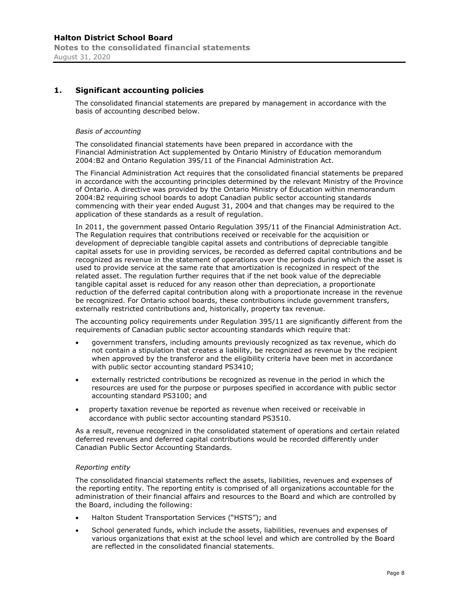# **1. Significant accounting policies**

The consolidated financial statements are prepared by management in accordance with the basis of accounting described below.

#### *Basis of accounting*

The consolidated financial statements have been prepared in accordance with the Financial Administration Act supplemented by Ontario Ministry of Education memorandum 2004:B2 and Ontario Regulation 395/11 of the Financial Administration Act.

The Financial Administration Act requires that the consolidated financial statements be prepared in accordance with the accounting principles determined by the relevant Ministry of the Province of Ontario. A directive was provided by the Ontario Ministry of Education within memorandum 2004:B2 requiring school boards to adopt Canadian public sector accounting standards commencing with their year ended August 31, 2004 and that changes may be required to the application of these standards as a result of regulation.

In 2011, the government passed Ontario Regulation 395/11 of the Financial Administration Act. The Regulation requires that contributions received or receivable for the acquisition or development of depreciable tangible capital assets and contributions of depreciable tangible capital assets for use in providing services, be recorded as deferred capital contributions and be recognized as revenue in the statement of operations over the periods during which the asset is used to provide service at the same rate that amortization is recognized in respect of the related asset. The regulation further requires that if the net book value of the depreciable tangible capital asset is reduced for any reason other than depreciation, a proportionate reduction of the deferred capital contribution along with a proportionate increase in the revenue be recognized. For Ontario school boards, these contributions include government transfers, externally restricted contributions and, historically, property tax revenue.

The accounting policy requirements under Regulation 395/11 are significantly different from the requirements of Canadian public sector accounting standards which require that:

- government transfers, including amounts previously recognized as tax revenue, which do not contain a stipulation that creates a liability, be recognized as revenue by the recipient when approved by the transferor and the eligibility criteria have been met in accordance with public sector accounting standard PS3410;
- externally restricted contributions be recognized as revenue in the period in which the resources are used for the purpose or purposes specified in accordance with public sector accounting standard PS3100; and
- property taxation revenue be reported as revenue when received or receivable in accordance with public sector accounting standard PS3510.

As a result, revenue recognized in the consolidated statement of operations and certain related deferred revenues and deferred capital contributions would be recorded differently under Canadian Public Sector Accounting Standards.

#### *Reporting entity*

The consolidated financial statements reflect the assets, liabilities, revenues and expenses of the reporting entity. The reporting entity is comprised of all organizations accountable for the administration of their financial affairs and resources to the Board and which are controlled by the Board, including the following:

- Halton Student Transportation Services ("HSTS"); and
- School generated funds, which include the assets, liabilities, revenues and expenses of various organizations that exist at the school level and which are controlled by the Board are reflected in the consolidated financial statements.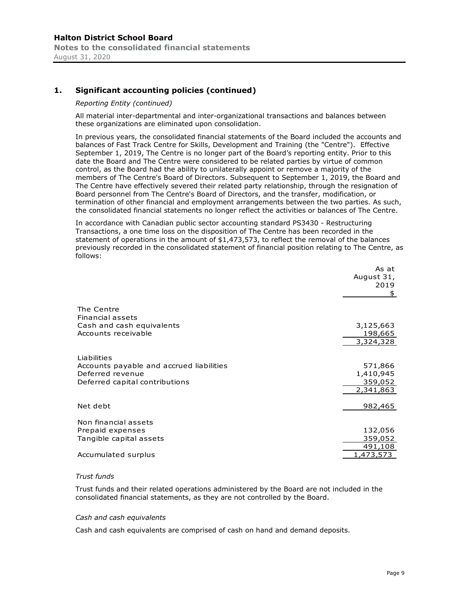#### *Reporting Entity (continued)*

All material inter-departmental and inter-organizational transactions and balances between these organizations are eliminated upon consolidation.

In previous years, the consolidated financial statements of the Board included the accounts and balances of Fast Track Centre for Skills, Development and Training (the "Centre"). Effective September 1, 2019, The Centre is no longer part of the Board's reporting entity. Prior to this date the Board and The Centre were considered to be related parties by virtue of common control, as the Board had the ability to unilaterally appoint or remove a majority of the members of The Centre's Board of Directors. Subsequent to September 1, 2019, the Board and The Centre have effectively severed their related party relationship, through the resignation of Board personnel from The Centre's Board of Directors, and the transfer, modification, or termination of other financial and employment arrangements between the two parties. As such, the consolidated financial statements no longer reflect the activities or balances of The Centre.

In accordance with Canadian public sector accounting standard PS3430 - Restructuring Transactions, a one time loss on the disposition of The Centre has been recorded in the statement of operations in the amount of \$1,473,573, to reflect the removal of the balances previously recorded in the consolidated statement of financial position relating to The Centre, as follows:

| As at<br>August 31,<br>2019<br>\$            |
|----------------------------------------------|
| 3,125,663<br>198,665<br>3,324,328            |
| 571,866<br>1,410,945<br>359,052<br>2,341,863 |
| 982,465                                      |
| 132,056<br>359,052<br>491,108<br>1,473,573   |
|                                              |

#### *Trust funds*

Trust funds and their related operations administered by the Board are not included in the consolidated financial statements, as they are not controlled by the Board.

#### *Cash and cash equivalents*

Cash and cash equivalents are comprised of cash on hand and demand deposits.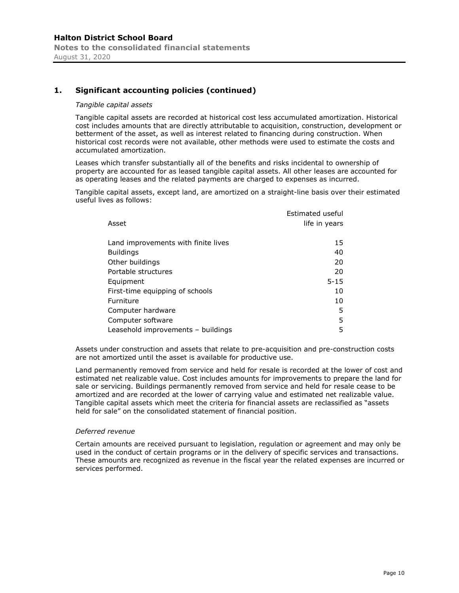#### *Tangible capital assets*

Tangible capital assets are recorded at historical cost less accumulated amortization. Historical cost includes amounts that are directly attributable to acquisition, construction, development or betterment of the asset, as well as interest related to financing during construction. When historical cost records were not available, other methods were used to estimate the costs and accumulated amortization.

Leases which transfer substantially all of the benefits and risks incidental to ownership of property are accounted for as leased tangible capital assets. All other leases are accounted for as operating leases and the related payments are charged to expenses as incurred.

Tangible capital assets, except land, are amortized on a straight-line basis over their estimated useful lives as follows:

| Asset                                | Estimated useful<br>life in years |
|--------------------------------------|-----------------------------------|
| Land improvements with finite lives  | 15                                |
| <b>Buildings</b>                     | 40                                |
| Other buildings                      | 20                                |
| Portable structures                  | 20                                |
| Equipment                            | $5 - 15$                          |
| First-time equipping of schools      | 10                                |
| Furniture                            | 10                                |
| Computer hardware                    | 5                                 |
| Computer software                    | 5                                 |
| Leasehold improvements $-$ buildings | 5                                 |

Assets under construction and assets that relate to pre-acquisition and pre-construction costs are not amortized until the asset is available for productive use.

Land permanently removed from service and held for resale is recorded at the lower of cost and estimated net realizable value. Cost includes amounts for improvements to prepare the land for sale or servicing. Buildings permanently removed from service and held for resale cease to be amortized and are recorded at the lower of carrying value and estimated net realizable value. Tangible capital assets which meet the criteria for financial assets are reclassified as "assets held for sale" on the consolidated statement of financial position.

#### *Deferred revenue*

Certain amounts are received pursuant to legislation, regulation or agreement and may only be used in the conduct of certain programs or in the delivery of specific services and transactions. These amounts are recognized as revenue in the fiscal year the related expenses are incurred or services performed.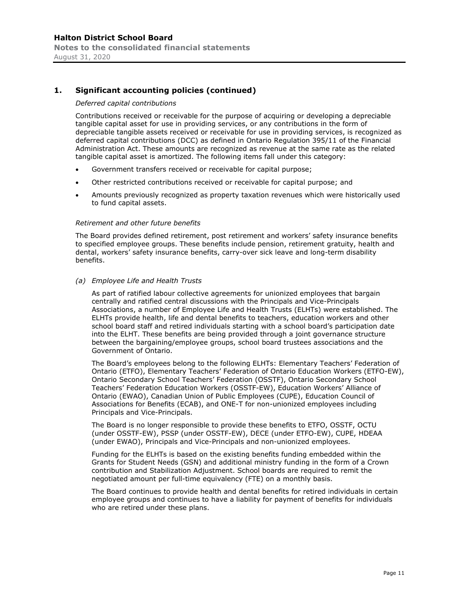#### *Deferred capital contributions*

Contributions received or receivable for the purpose of acquiring or developing a depreciable tangible capital asset for use in providing services, or any contributions in the form of depreciable tangible assets received or receivable for use in providing services, is recognized as deferred capital contributions (DCC) as defined in Ontario Regulation 395/11 of the Financial Administration Act. These amounts are recognized as revenue at the same rate as the related tangible capital asset is amortized. The following items fall under this category:

- Government transfers received or receivable for capital purpose;
- Other restricted contributions received or receivable for capital purpose; and
- Amounts previously recognized as property taxation revenues which were historically used to fund capital assets.

#### *Retirement and other future benefits*

The Board provides defined retirement, post retirement and workers' safety insurance benefits to specified employee groups. These benefits include pension, retirement gratuity, health and dental, workers' safety insurance benefits, carry-over sick leave and long-term disability benefits.

#### *(a) Employee Life and Health Trusts*

As part of ratified labour collective agreements for unionized employees that bargain centrally and ratified central discussions with the Principals and Vice-Principals Associations, a number of Employee Life and Health Trusts (ELHTs) were established. The ELHTs provide health, life and dental benefits to teachers, education workers and other school board staff and retired individuals starting with a school board's participation date into the ELHT. These benefits are being provided through a joint governance structure between the bargaining/employee groups, school board trustees associations and the Government of Ontario.

The Board's employees belong to the following ELHTs: Elementary Teachers' Federation of Ontario (ETFO), Elementary Teachers' Federation of Ontario Education Workers (ETFO-EW), Ontario Secondary School Teachers' Federation (OSSTF), Ontario Secondary School Teachers' Federation Education Workers (OSSTF-EW), Education Workers' Alliance of Ontario (EWAO), Canadian Union of Public Employees (CUPE), Education Council of Associations for Benefits (ECAB), and ONE-T for non-unionized employees including Principals and Vice-Principals.

The Board is no longer responsible to provide these benefits to ETFO, OSSTF, OCTU (under OSSTF-EW), PSSP (under OSSTF-EW), DECE (under ETFO-EW), CUPE, HDEAA (under EWAO), Principals and Vice-Principals and non-unionized employees.

Funding for the ELHTs is based on the existing benefits funding embedded within the Grants for Student Needs (GSN) and additional ministry funding in the form of a Crown contribution and Stabilization Adjustment. School boards are required to remit the negotiated amount per full-time equivalency (FTE) on a monthly basis.

The Board continues to provide health and dental benefits for retired individuals in certain employee groups and continues to have a liability for payment of benefits for individuals who are retired under these plans.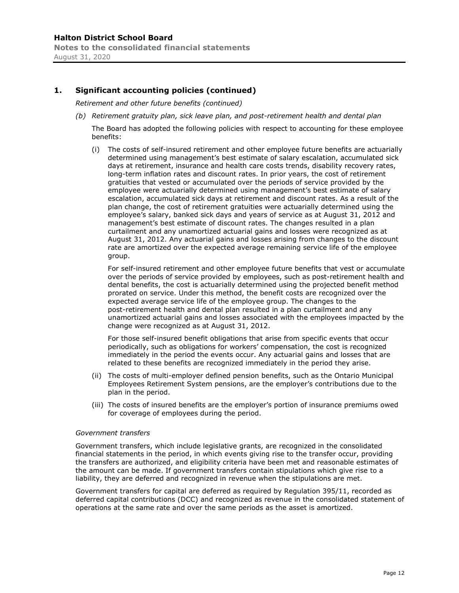*Retirement and other future benefits (continued)*

*(b) Retirement gratuity plan, sick leave plan, and post-retirement health and dental plan*

The Board has adopted the following policies with respect to accounting for these employee benefits:

(i) The costs of self-insured retirement and other employee future benefits are actuarially determined using management's best estimate of salary escalation, accumulated sick days at retirement, insurance and health care costs trends, disability recovery rates, long-term inflation rates and discount rates. In prior years, the cost of retirement gratuities that vested or accumulated over the periods of service provided by the employee were actuarially determined using management's best estimate of salary escalation, accumulated sick days at retirement and discount rates. As a result of the plan change, the cost of retirement gratuities were actuarially determined using the employee's salary, banked sick days and years of service as at August 31, 2012 and management's best estimate of discount rates. The changes resulted in a plan curtailment and any unamortized actuarial gains and losses were recognized as at August 31, 2012. Any actuarial gains and losses arising from changes to the discount rate are amortized over the expected average remaining service life of the employee group.

For self-insured retirement and other employee future benefits that vest or accumulate over the periods of service provided by employees, such as post-retirement health and dental benefits, the cost is actuarially determined using the projected benefit method prorated on service. Under this method, the benefit costs are recognized over the expected average service life of the employee group. The changes to the post-retirement health and dental plan resulted in a plan curtailment and any unamortized actuarial gains and losses associated with the employees impacted by the change were recognized as at August 31, 2012.

For those self-insured benefit obligations that arise from specific events that occur periodically, such as obligations for workers' compensation, the cost is recognized immediately in the period the events occur. Any actuarial gains and losses that are related to these benefits are recognized immediately in the period they arise.

- (ii) The costs of multi-employer defined pension benefits, such as the Ontario Municipal Employees Retirement System pensions, are the employer's contributions due to the plan in the period.
- (iii) The costs of insured benefits are the employer's portion of insurance premiums owed for coverage of employees during the period.

#### *Government transfers*

Government transfers, which include legislative grants, are recognized in the consolidated financial statements in the period, in which events giving rise to the transfer occur, providing the transfers are authorized, and eligibility criteria have been met and reasonable estimates of the amount can be made. If government transfers contain stipulations which give rise to a liability, they are deferred and recognized in revenue when the stipulations are met.

Government transfers for capital are deferred as required by Regulation 395/11, recorded as deferred capital contributions (DCC) and recognized as revenue in the consolidated statement of operations at the same rate and over the same periods as the asset is amortized.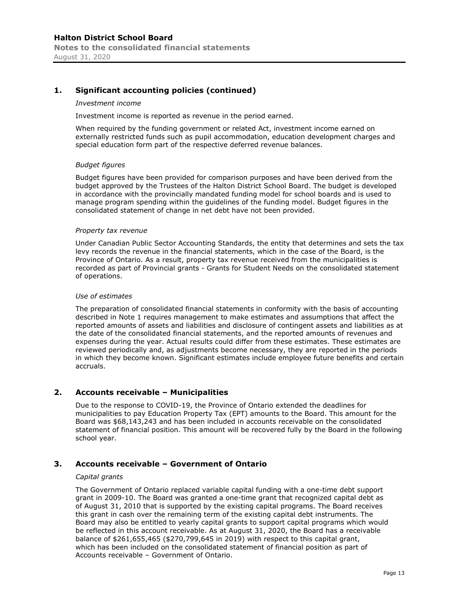#### *Investment income*

Investment income is reported as revenue in the period earned.

When required by the funding government or related Act, investment income earned on externally restricted funds such as pupil accommodation, education development charges and special education form part of the respective deferred revenue balances.

#### *Budget figures*

Budget figures have been provided for comparison purposes and have been derived from the budget approved by the Trustees of the Halton District School Board. The budget is developed in accordance with the provincially mandated funding model for school boards and is used to manage program spending within the guidelines of the funding model. Budget figures in the consolidated statement of change in net debt have not been provided.

#### *Property tax revenue*

Under Canadian Public Sector Accounting Standards, the entity that determines and sets the tax levy records the revenue in the financial statements, which in the case of the Board, is the Province of Ontario. As a result, property tax revenue received from the municipalities is recorded as part of Provincial grants - Grants for Student Needs on the consolidated statement of operations.

#### *Use of estimates*

The preparation of consolidated financial statements in conformity with the basis of accounting described in Note 1 requires management to make estimates and assumptions that affect the reported amounts of assets and liabilities and disclosure of contingent assets and liabilities as at the date of the consolidated financial statements, and the reported amounts of revenues and expenses during the year. Actual results could differ from these estimates. These estimates are reviewed periodically and, as adjustments become necessary, they are reported in the periods in which they become known. Significant estimates include employee future benefits and certain accruals.

#### **2. Accounts receivable – Municipalities**

Due to the response to COVID-19, the Province of Ontario extended the deadlines for municipalities to pay Education Property Tax (EPT) amounts to the Board. This amount for the Board was \$68,143,243 and has been included in accounts receivable on the consolidated statement of financial position. This amount will be recovered fully by the Board in the following school year.

#### **3. Accounts receivable – Government of Ontario**

#### *Capital grants*

The Government of Ontario replaced variable capital funding with a one-time debt support grant in 2009-10. The Board was granted a one-time grant that recognized capital debt as of August 31, 2010 that is supported by the existing capital programs. The Board receives this grant in cash over the remaining term of the existing capital debt instruments. The Board may also be entitled to yearly capital grants to support capital programs which would be reflected in this account receivable. As at August 31, 2020, the Board has a receivable balance of \$261,655,465 (\$270,799,645 in 2019) with respect to this capital grant, which has been included on the consolidated statement of financial position as part of Accounts receivable – Government of Ontario.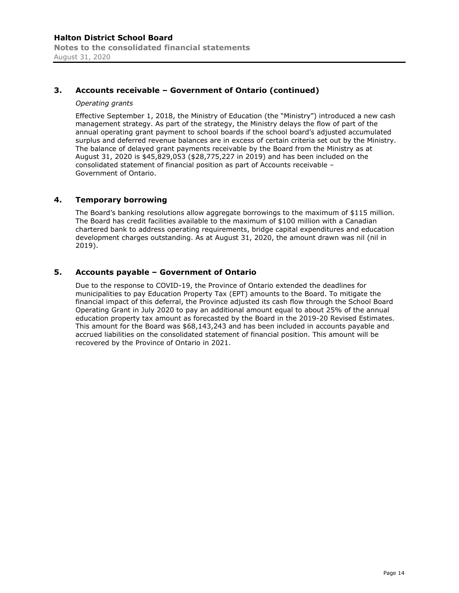# **3. Accounts receivable – Government of Ontario (continued)**

#### *Operating grants*

Effective September 1, 2018, the Ministry of Education (the "Ministry") introduced a new cash management strategy. As part of the strategy, the Ministry delays the flow of part of the annual operating grant payment to school boards if the school board's adjusted accumulated surplus and deferred revenue balances are in excess of certain criteria set out by the Ministry. The balance of delayed grant payments receivable by the Board from the Ministry as at August 31, 2020 is \$45,829,053 (\$28,775,227 in 2019) and has been included on the consolidated statement of financial position as part of Accounts receivable – Government of Ontario.

#### **4. Temporary borrowing**

The Board's banking resolutions allow aggregate borrowings to the maximum of \$115 million. The Board has credit facilities available to the maximum of \$100 million with a Canadian chartered bank to address operating requirements, bridge capital expenditures and education development charges outstanding. As at August 31, 2020, the amount drawn was nil (nil in 2019).

# **5. Accounts payable – Government of Ontario**

Due to the response to COVID-19, the Province of Ontario extended the deadlines for municipalities to pay Education Property Tax (EPT) amounts to the Board. To mitigate the financial impact of this deferral, the Province adjusted its cash flow through the School Board Operating Grant in July 2020 to pay an additional amount equal to about 25% of the annual education property tax amount as forecasted by the Board in the 2019-20 Revised Estimates. This amount for the Board was \$68,143,243 and has been included in accounts payable and accrued liabilities on the consolidated statement of financial position. This amount will be recovered by the Province of Ontario in 2021.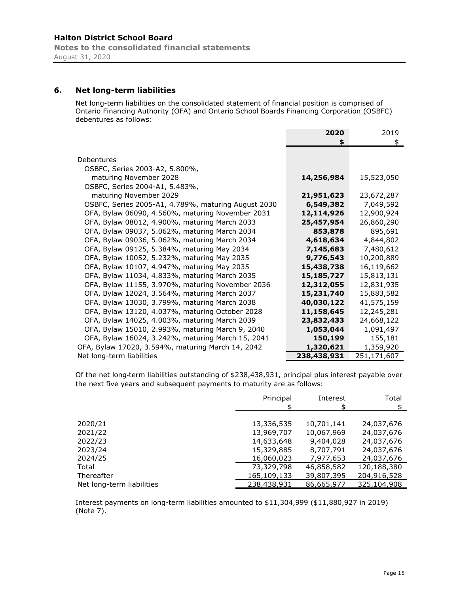**Notes to the consolidated financial statements** August 31, 2020

# **6. Net long-term liabilities**

Net long-term liabilities on the consolidated statement of financial position is comprised of Ontario Financing Authority (OFA) and Ontario School Boards Financing Corporation (OSBFC) debentures as follows:

|                                                     | 2020<br>\$  | 2019<br>\$  |
|-----------------------------------------------------|-------------|-------------|
| Debentures                                          |             |             |
| OSBFC, Series 2003-A2, 5.800%,                      |             |             |
| maturing November 2028                              | 14,256,984  | 15,523,050  |
| OSBFC, Series 2004-A1, 5.483%,                      |             |             |
| maturing November 2029                              | 21,951,623  | 23,672,287  |
| OSBFC, Series 2005-A1, 4.789%, maturing August 2030 | 6,549,382   | 7,049,592   |
| OFA, Bylaw 06090, 4.560%, maturing November 2031    | 12,114,926  | 12,900,924  |
| OFA, Bylaw 08012, 4.900%, maturing March 2033       | 25,457,954  | 26,860,290  |
| OFA, Bylaw 09037, 5.062%, maturing March 2034       | 853,878     | 895,691     |
| OFA, Bylaw 09036, 5.062%, maturing March 2034       | 4,618,634   | 4,844,802   |
| OFA, Bylaw 09125, 5.384%, maturing May 2034         | 7,145,683   | 7,480,612   |
| OFA, Bylaw 10052, 5.232%, maturing May 2035         | 9,776,543   | 10,200,889  |
| OFA, Bylaw 10107, 4.947%, maturing May 2035         | 15,438,738  | 16,119,662  |
| OFA, Bylaw 11034, 4.833%, maturing March 2035       | 15,185,727  | 15,813,131  |
| OFA, Bylaw 11155, 3.970%, maturing November 2036    | 12,312,055  | 12,831,935  |
| OFA, Bylaw 12024, 3.564%, maturing March 2037       | 15,231,740  | 15,883,582  |
| OFA, Bylaw 13030, 3.799%, maturing March 2038       | 40,030,122  | 41,575,159  |
| OFA, Bylaw 13120, 4.037%, maturing October 2028     | 11,158,645  | 12,245,281  |
| OFA, Bylaw 14025, 4.003%, maturing March 2039       | 23,832,433  | 24,668,122  |
| OFA, Bylaw 15010, 2.993%, maturing March 9, 2040    | 1,053,044   | 1,091,497   |
| OFA, Bylaw 16024, 3.242%, maturing March 15, 2041   | 150,199     | 155,181     |
| OFA, Bylaw 17020, 3.594%, maturing March 14, 2042   | 1,320,621   | 1,359,920   |
| Net long-term liabilities                           | 238,438,931 | 251,171,607 |

Of the net long-term liabilities outstanding of \$238,438,931, principal plus interest payable over the next five years and subsequent payments to maturity are as follows:

|                           | Principal   | Interest<br>ፍ | Total       |
|---------------------------|-------------|---------------|-------------|
|                           |             |               |             |
| 2020/21                   | 13,336,535  | 10,701,141    | 24,037,676  |
| 2021/22                   | 13,969,707  | 10,067,969    | 24,037,676  |
| 2022/23                   | 14,633,648  | 9,404,028     | 24,037,676  |
| 2023/24                   | 15,329,885  | 8,707,791     | 24,037,676  |
| 2024/25                   | 16,060,023  | 7,977,653     | 24,037,676  |
| Total                     | 73,329,798  | 46,858,582    | 120,188,380 |
| Thereafter                | 165,109,133 | 39,807,395    | 204,916,528 |
| Net long-term liabilities | 238,438,931 | 86,665,977    | 325,104,908 |
|                           |             |               |             |

Interest payments on long-term liabilities amounted to \$11,304,999 (\$11,880,927 in 2019) (Note 7).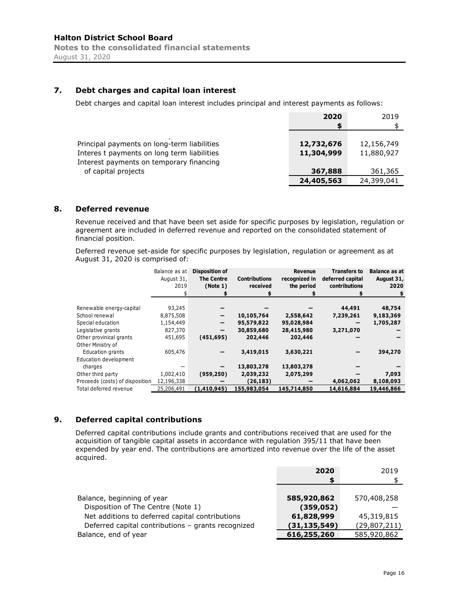# **7. Debt charges and capital loan interest**

Debt charges and capital loan interest includes principal and interest payments as follows:

|                                             | 2020       | 2019       |
|---------------------------------------------|------------|------------|
|                                             | S          |            |
|                                             |            |            |
| Principal payments on long-term liabilities | 12,732,676 | 12,156,749 |
| Interes t payments on long term liabilities | 11,304,999 | 11,880,927 |
| Interest payments on temporary financing    |            |            |
| of capital projects                         | 367,888    | 361,365    |
|                                             | 24,405,563 | 24,399,041 |

#### **8. Deferred revenue**

Revenue received and that have been set aside for specific purposes by legislation, regulation or agreement are included in deferred revenue and reported on the consolidated statement of financial position.

Deferred revenue set-aside for specific purposes by legislation, regulation or agreement as at August 31, 2020 is comprised of:

|                                 | Balance as at<br>August 31,<br>2019 | <b>Disposition of</b><br><b>The Centre</b><br>(Note 1) | <b>Contributions</b><br>received | <b>Revenue</b><br>recognized in<br>the period | <b>Transfers to</b><br>deferred capital<br>contributions | Balance as at<br>August 31,<br>2020 |
|---------------------------------|-------------------------------------|--------------------------------------------------------|----------------------------------|-----------------------------------------------|----------------------------------------------------------|-------------------------------------|
|                                 |                                     |                                                        |                                  |                                               |                                                          |                                     |
|                                 |                                     |                                                        |                                  |                                               |                                                          |                                     |
| Renewable energy-capital        | 93,245                              |                                                        |                                  |                                               | 44,491                                                   | 48,754                              |
| School renewal                  | 8,875,508                           | $\qquad \qquad \blacksquare$                           | 10,105,764                       | 2,558,642                                     | 7,239,261                                                | 9,183,369                           |
| Special education               | 1,154,449                           | $\qquad \qquad$                                        | 95,579,822                       | 95,028,984                                    |                                                          | 1,705,287                           |
| Legislative grants              | 827,370                             | -                                                      | 30,859,680                       | 28,415,980                                    | 3,271,070                                                |                                     |
| Other provinical grants         | 451,695                             | (451, 695)                                             | 202,446                          | 202,446                                       |                                                          |                                     |
| Other Ministry of               |                                     |                                                        |                                  |                                               |                                                          |                                     |
| Education grants                | 605,476                             |                                                        | 3,419,015                        | 3,630,221                                     |                                                          | 394,270                             |
| Education development           |                                     |                                                        |                                  |                                               |                                                          |                                     |
| charges                         |                                     |                                                        | 13,803,278                       | 13,803,278                                    |                                                          |                                     |
| Other third party               | 1,002,410                           | (959, 250)                                             | 2,039,232                        | 2,075,299                                     |                                                          | 7,093                               |
| Proceeds (costs) of disposition | 12,196,338                          |                                                        | (26, 183)                        |                                               | 4,062,062                                                | 8,108,093                           |
| Total deferred revenue          | 25,206,491                          | (1,410,945)                                            | 155,983,054                      | 145,714,850                                   | 14,616,884                                               | 19,446,866                          |

# **9. Deferred capital contributions**

Deferred capital contributions include grants and contributions received that are used for the acquisition of tangible capital assets in accordance with regulation 395/11 that have been expended by year end. The contributions are amortized into revenue over the life of the asset acquired.

|                                                    | 2020           | 2019           |
|----------------------------------------------------|----------------|----------------|
|                                                    | S              |                |
|                                                    |                |                |
| Balance, beginning of year                         | 585,920,862    | 570,408,258    |
| Disposition of The Centre (Note 1)                 | (359, 052)     |                |
| Net additions to deferred capital contributions    | 61,828,999     | 45,319,815     |
| Deferred capital contributions - grants recognized | (31, 135, 549) | (29, 807, 211) |
| Balance, end of year                               | 616,255,260    | 585,920,862    |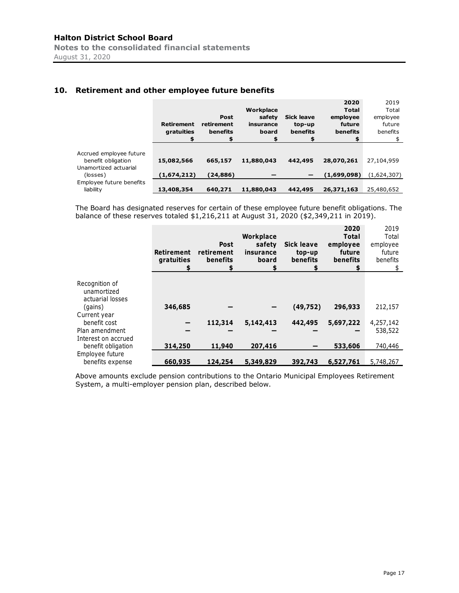# **10. Retirement and other employee future benefits**

|                                                                                    | <b>Retirement</b><br>gratuities<br>\$ | Post<br>retirement<br>benefits<br>\$ | Workplace<br>safety<br>insurance<br>board<br>\$ | <b>Sick leave</b><br>top-up<br>benefits<br>\$ | 2020<br><b>Total</b><br>employee<br>future<br>benefits<br>\$ | 2019<br>Total<br>employee<br>future<br>benefits<br>\$ |
|------------------------------------------------------------------------------------|---------------------------------------|--------------------------------------|-------------------------------------------------|-----------------------------------------------|--------------------------------------------------------------|-------------------------------------------------------|
| Accrued employee future<br>benefit obligation<br>Unamortized actuarial<br>(losses) | 15,082,566<br>(1,674,212)             | 665,157<br>(24,886)                  | 11,880,043                                      | 442,495                                       | 28,070,261<br>(1,699,098)                                    | 27,104,959<br>(1,624,307)                             |
| Employee future benefits<br>liability                                              | 13,408,354                            | 640,271                              | 11,880,043                                      | 442,495                                       | 26,371,163                                                   | 25,480,652                                            |

The Board has designated reserves for certain of these employee future benefit obligations. The balance of these reserves totaled \$1,216,211 at August 31, 2020 (\$2,349,211 in 2019).

|                                                   | Retirement<br>gratuities | <b>Post</b><br>retirement<br>benefits | <b>Workplace</b><br>safety<br>insurance<br>board | <b>Sick leave</b><br>top-up<br>benefits | 2020<br><b>Total</b><br>employee<br>future<br>benefits<br>S | 2019<br>Total<br>employee<br>future<br>benefits<br>S. |
|---------------------------------------------------|--------------------------|---------------------------------------|--------------------------------------------------|-----------------------------------------|-------------------------------------------------------------|-------------------------------------------------------|
| Recognition of<br>unamortized<br>actuarial losses |                          |                                       |                                                  |                                         |                                                             |                                                       |
| (gains)                                           | 346,685                  |                                       |                                                  | (49, 752)                               | 296,933                                                     | 212,157                                               |
| Current year<br>benefit cost                      |                          | 112,314                               | 5,142,413                                        | 442,495                                 | 5,697,222                                                   | 4,257,142                                             |
| Plan amendment                                    |                          |                                       |                                                  |                                         |                                                             | 538,522                                               |
| Interest on accrued<br>benefit obligation         | 314,250                  | 11,940                                | 207,416                                          |                                         | 533,606                                                     | 740,446                                               |
| Employee future<br>benefits expense               | 660,935                  | 124,254                               | 5,349,829                                        | 392,743                                 | 6,527,761                                                   | 5,748,267                                             |

Above amounts exclude pension contributions to the Ontario Municipal Employees Retirement System, a multi-employer pension plan, described below.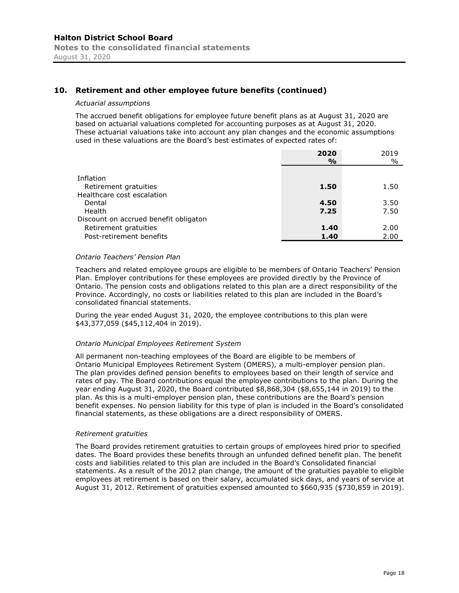# **10. Retirement and other employee future benefits (continued)**

#### *Actuarial assumptions*

The accrued benefit obligations for employee future benefit plans as at August 31, 2020 are based on actuarial valuations completed for accounting purposes as at August 31, 2020. These actuarial valuations take into account any plan changes and the economic assumptions used in these valuations are the Board's best estimates of expected rates of:

|                                       | 2020<br>$\frac{0}{0}$ | 2019<br>$\%$ |
|---------------------------------------|-----------------------|--------------|
| Inflation                             |                       |              |
| Retirement gratuities                 | 1.50                  | 1.50         |
| Healthcare cost escalation<br>Dental  | 4.50                  | 3.50         |
| Health                                | 7.25                  | 7.50         |
| Discount on accrued benefit obligaton |                       |              |
| Retirement gratuities                 | 1.40                  | 2.00         |
| Post-retirement benefits              | 1.40                  | 2.00         |

#### *Ontario Teachers' Pension Plan*

Teachers and related employee groups are eligible to be members of Ontario Teachers' Pension Plan. Employer contributions for these employees are provided directly by the Province of Ontario. The pension costs and obligations related to this plan are a direct responsibility of the Province. Accordingly, no costs or liabilities related to this plan are included in the Board's consolidated financial statements.

During the year ended August 31, 2020, the employee contributions to this plan were \$43,377,059 (\$45,112,404 in 2019).

#### *Ontario Municipal Employees Retirement System*

All permanent non-teaching employees of the Board are eligible to be members of Ontario Municipal Employees Retirement System (OMERS), a multi-employer pension plan. The plan provides defined pension benefits to employees based on their length of service and rates of pay. The Board contributions equal the employee contributions to the plan. During the year ending August 31, 2020, the Board contributed \$8,868,304 (\$8,655,144 in 2019) to the plan. As this is a multi-employer pension plan, these contributions are the Board's pension benefit expenses. No pension liability for this type of plan is included in the Board's consolidated financial statements, as these obligations are a direct responsibility of OMERS.

#### *Retirement gratuities*

The Board provides retirement gratuities to certain groups of employees hired prior to specified dates. The Board provides these benefits through an unfunded defined benefit plan. The benefit costs and liabilities related to this plan are included in the Board's Consolidated financial statements. As a result of the 2012 plan change, the amount of the gratuities payable to eligible employees at retirement is based on their salary, accumulated sick days, and years of service at August 31, 2012. Retirement of gratuities expensed amounted to \$660,935 (\$730,859 in 2019).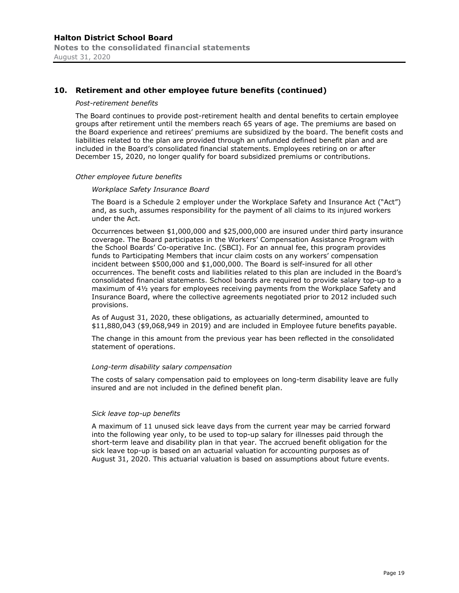# **10. Retirement and other employee future benefits (continued)**

#### *Post-retirement benefits*

The Board continues to provide post-retirement health and dental benefits to certain employee groups after retirement until the members reach 65 years of age. The premiums are based on the Board experience and retirees' premiums are subsidized by the board. The benefit costs and liabilities related to the plan are provided through an unfunded defined benefit plan and are included in the Board's consolidated financial statements. Employees retiring on or after December 15, 2020, no longer qualify for board subsidized premiums or contributions.

#### *Other employee future benefits*

#### *Workplace Safety Insurance Board*

The Board is a Schedule 2 employer under the Workplace Safety and Insurance Act ("Act") and, as such, assumes responsibility for the payment of all claims to its injured workers under the Act.

Occurrences between \$1,000,000 and \$25,000,000 are insured under third party insurance coverage. The Board participates in the Workers' Compensation Assistance Program with the School Boards' Co-operative Inc. (SBCI). For an annual fee, this program provides funds to Participating Members that incur claim costs on any workers' compensation incident between \$500,000 and \$1,000,000. The Board is self-insured for all other occurrences. The benefit costs and liabilities related to this plan are included in the Board's consolidated financial statements. School boards are required to provide salary top-up to a maximum of 4½ years for employees receiving payments from the Workplace Safety and Insurance Board, where the collective agreements negotiated prior to 2012 included such provisions.

As of August 31, 2020, these obligations, as actuarially determined, amounted to \$11,880,043 (\$9,068,949 in 2019) and are included in Employee future benefits payable.

The change in this amount from the previous year has been reflected in the consolidated statement of operations.

#### *Long-term disability salary compensation*

The costs of salary compensation paid to employees on long-term disability leave are fully insured and are not included in the defined benefit plan.

#### *Sick leave top-up benefits*

A maximum of 11 unused sick leave days from the current year may be carried forward into the following year only, to be used to top-up salary for illnesses paid through the short-term leave and disability plan in that year. The accrued benefit obligation for the sick leave top-up is based on an actuarial valuation for accounting purposes as of August 31, 2020. This actuarial valuation is based on assumptions about future events.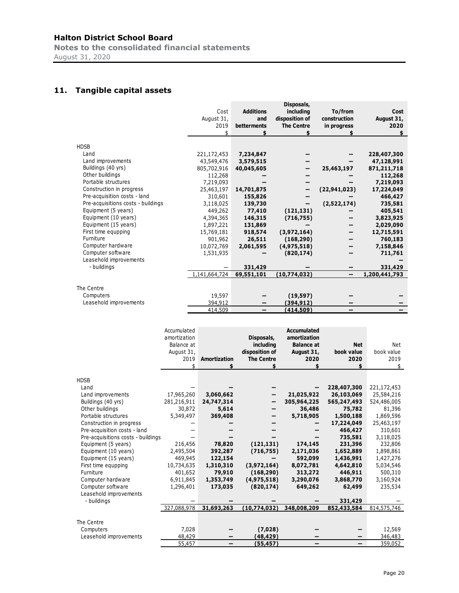**Notes to the consolidated financial statements** August 31, 2020

# **11. Tangible capital assets**

|                                    |               |                  | Disposals,        |                |               |
|------------------------------------|---------------|------------------|-------------------|----------------|---------------|
|                                    | Cost          | <b>Additions</b> | including         | To/from        | Cost          |
|                                    | August 31,    | and              | disposition of    | construction   | August 31,    |
|                                    | 2019          | betterments      | <b>The Centre</b> | in progress    | 2020          |
|                                    | \$            |                  |                   |                |               |
|                                    |               |                  |                   |                |               |
| <b>HDSB</b>                        |               |                  |                   |                |               |
| Land                               | 221,172,453   | 7,234,847        |                   |                | 228,407,300   |
| Land improvements                  | 43,549,476    | 3,579,515        |                   |                | 47,128,991    |
| Buildings (40 yrs)                 | 805,702,916   | 40,045,605       |                   | 25,463,197     | 871,211,718   |
| Other buildings                    | 112,268       |                  |                   |                | 112,268       |
| Portable structures                | 7,219,093     |                  |                   |                | 7,219,093     |
| Construction in progress           | 25,463,197    | 14,701,875       |                   | (22, 941, 023) | 17,224,049    |
| Pre-acquisition costs - land       | 310,601       | 155,826          |                   |                | 466,427       |
| Pre-acquisitions costs - buildings | 3,118,025     | 139,730          |                   | (2,522,174)    | 735,581       |
| Equipment (5 years)                | 449,262       | 77,410           | (121, 131)        |                | 405,541       |
| Equipment (10 years)               | 4,394,365     | 146,315          | (716, 755)        |                | 3,823,925     |
| Equipment (15 years)               | 1,897,221     | 131,869          |                   |                | 2,029,090     |
| First time equpping                | 15,769,181    | 918,574          | (3,972,164)       |                | 12,715,591    |
| Furniture                          | 901,962       | 26,511           | (168, 290)        |                | 760,183       |
| Computer hardware                  | 10,072,769    | 2,061,595        | (4,975,518)       |                | 7,158,846     |
| Computer software                  | 1,531,935     |                  | (820, 174)        |                | 711,761       |
| Leasehold improvements             |               |                  |                   |                |               |
| - buildings                        |               | 331,429          |                   |                | 331,429       |
|                                    | 1,141,664,724 | 69,551,101       | (10,774,032)      |                | 1,200,441,793 |
|                                    |               |                  |                   |                |               |
| The Centre                         |               |                  |                   |                |               |
| Computers                          | 19,597        |                  | (19, 597)         |                |               |
| Leasehold improvements             | 394,912       |                  | (394, 912)        |                |               |
|                                    | 414,509       | -                | (414,509)         | —              |               |

|                                    | Accumulated<br>amortization<br>Balance at<br>August 31,<br>2019<br>\$ | Amortization<br>\$ | Disposals,<br>including<br>disposition of<br><b>The Centre</b> | <b>Accumulated</b><br>amortization<br><b>Balance at</b><br>August 31,<br>2020 | <b>Net</b><br>book value<br>2020 | Net<br>book value<br>2019<br>\$ |
|------------------------------------|-----------------------------------------------------------------------|--------------------|----------------------------------------------------------------|-------------------------------------------------------------------------------|----------------------------------|---------------------------------|
|                                    |                                                                       |                    |                                                                |                                                                               |                                  |                                 |
| <b>HDSB</b>                        |                                                                       |                    |                                                                |                                                                               |                                  |                                 |
| Land                               |                                                                       |                    |                                                                |                                                                               | 228,407,300                      | 221,172,453                     |
| Land improvements                  | 17,965,260                                                            | 3,060,662          |                                                                | 21,025,922                                                                    | 26,103,069                       | 25,584,216                      |
| Buildings (40 yrs)                 | 281,216,911                                                           | 24,747,314         |                                                                | 305,964,225                                                                   | 565,247,493                      | 524,486,005                     |
| Other buildings                    | 30,872                                                                | 5,614              |                                                                | 36,486                                                                        | 75,782                           | 81,396                          |
| Portable structures                | 5,349,497                                                             | 369,408            |                                                                | 5,718,905                                                                     | 1,500,188                        | 1,869,596                       |
| Construction in progress           |                                                                       |                    |                                                                |                                                                               | 17,224,049                       | 25,463,197                      |
| Pre-acquisition costs - land       |                                                                       |                    |                                                                |                                                                               | 466,427                          | 310,601                         |
| Pre-acquisitions costs - buildings |                                                                       |                    |                                                                |                                                                               | 735,581                          | 3,118,025                       |
| Equipment (5 years)                | 216,456                                                               | 78,820             | (121, 131)                                                     | 174,145                                                                       | 231,396                          | 232,806                         |
| Equipment (10 years)               | 2,495,504                                                             | 392,287            | (716, 755)                                                     | 2,171,036                                                                     | 1,652,889                        | 1,898,861                       |
| Equipment (15 years)               | 469,945                                                               | 122,154            |                                                                | 592,099                                                                       | 1,436,991                        | 1,427,276                       |
| First time equpping                | 10,734,635                                                            | 1,310,310          | (3,972,164)                                                    | 8,072,781                                                                     | 4,642,810                        | 5,034,546                       |
| Furniture                          | 401,652                                                               | 79,910             | (168, 290)                                                     | 313,272                                                                       | 446,911                          | 500,310                         |
| Computer hardware                  | 6,911,845                                                             | 1,353,749          | (4,975,518)                                                    | 3,290,076                                                                     | 3,868,770                        | 3,160,924                       |
| Computer software                  | 1,296,401                                                             | 173,035            | (820, 174)                                                     | 649,262                                                                       | 62,499                           | 235,534                         |
| Leasehold improvements             |                                                                       |                    |                                                                |                                                                               |                                  |                                 |
| - buildings                        |                                                                       |                    |                                                                |                                                                               | 331,429                          |                                 |
|                                    | 327,088,978                                                           | 31,693,263         | (10,774,032)                                                   | 348,008,209                                                                   | 852,433,584                      | 814,575,746                     |
|                                    |                                                                       |                    |                                                                |                                                                               |                                  |                                 |
| The Centre                         |                                                                       |                    |                                                                |                                                                               |                                  |                                 |
| Computers                          | 7,028                                                                 |                    | (7,028)                                                        |                                                                               |                                  | 12,569                          |
| Leasehold improvements             | 48,429                                                                |                    | (48,429)                                                       |                                                                               |                                  | 346,483                         |
|                                    | 55,457                                                                |                    | (55, 457)                                                      |                                                                               |                                  | 359,052                         |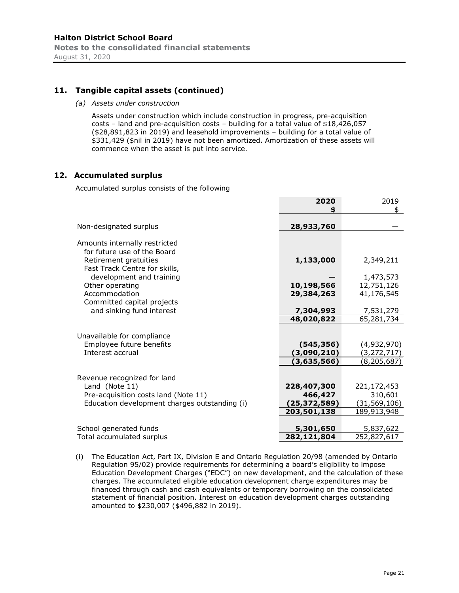# **11. Tangible capital assets (continued)**

*(a) Assets under construction*

Assets under construction which include construction in progress, pre-acquisition costs – land and pre-acquisition costs – building for a total value of \$18,426,057 (\$28,891,823 in 2019) and leasehold improvements – building for a total value of \$331,429 (\$nil in 2019) have not been amortized. Amortization of these assets will commence when the asset is put into service.

# **12. Accumulated surplus**

Accumulated surplus consists of the following

|                                               | 2020<br>\$     | 2019<br>\$    |
|-----------------------------------------------|----------------|---------------|
| Non-designated surplus                        | 28,933,760     |               |
| Amounts internally restricted                 |                |               |
| for future use of the Board                   |                |               |
| Retirement gratuities                         | 1,133,000      | 2,349,211     |
| Fast Track Centre for skills,                 |                |               |
| development and training                      |                | 1,473,573     |
| Other operating                               | 10,198,566     | 12,751,126    |
| Accommodation                                 | 29,384,263     | 41,176,545    |
| Committed capital projects                    |                |               |
| and sinking fund interest                     | 7,304,993      | 7,531,279     |
|                                               | 48,020,822     | 65,281,734    |
| Unavailable for compliance                    |                |               |
| Employee future benefits                      | (545, 356)     | (4,932,970)   |
| Interest accrual                              | (3,090,210)    | (3, 272, 717) |
|                                               | (3,635,566)    | (8, 205, 687) |
|                                               |                |               |
| Revenue recognized for land                   |                |               |
| Land (Note 11)                                | 228,407,300    | 221,172,453   |
| Pre-acquisition costs land (Note 11)          | 466,427        | 310,601       |
| Education development charges outstanding (i) | (25, 372, 589) | (31,569,106)  |
|                                               | 203,501,138    | 189,913,948   |
|                                               |                |               |
| School generated funds                        | 5,301,650      | 5,837,622     |
| Total accumulated surplus                     | 282,121,804    | 252,827,617   |

(i) The Education Act, Part IX, Division E and Ontario Regulation 20/98 (amended by Ontario Regulation 95/02) provide requirements for determining a board's eligibility to impose Education Development Charges ("EDC") on new development, and the calculation of these charges. The accumulated eligible education development charge expenditures may be financed through cash and cash equivalents or temporary borrowing on the consolidated statement of financial position. Interest on education development charges outstanding amounted to \$230,007 (\$496,882 in 2019).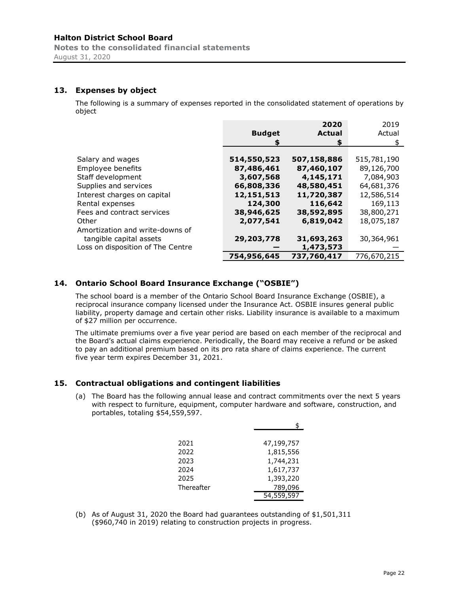# **13. Expenses by object**

The following is a summary of expenses reported in the consolidated statement of operations by object

|                                   |               | 2020          | 2019        |
|-----------------------------------|---------------|---------------|-------------|
|                                   | <b>Budget</b> | <b>Actual</b> | Actual      |
|                                   |               | \$            | \$          |
|                                   |               |               |             |
| Salary and wages                  | 514,550,523   | 507,158,886   | 515,781,190 |
| Employee benefits                 | 87,486,461    | 87,460,107    | 89,126,700  |
| Staff development                 | 3,607,568     | 4,145,171     | 7,084,903   |
| Supplies and services             | 66,808,336    | 48,580,451    | 64,681,376  |
| Interest charges on capital       | 12,151,513    | 11,720,387    | 12,586,514  |
| Rental expenses                   | 124,300       | 116,642       | 169,113     |
| Fees and contract services        | 38,946,625    | 38,592,895    | 38,800,271  |
| Other                             | 2,077,541     | 6,819,042     | 18,075,187  |
| Amortization and write-downs of   |               |               |             |
| tangible capital assets           | 29,203,778    | 31,693,263    | 30,364,961  |
| Loss on disposition of The Centre |               | 1,473,573     |             |
|                                   | 754,956,645   | 737,760,417   | 776,670,215 |

# **14. Ontario School Board Insurance Exchange ("OSBIE")**

The school board is a member of the Ontario School Board Insurance Exchange (OSBIE), a reciprocal insurance company licensed under the Insurance Act. OSBIE insures general public liability, property damage and certain other risks. Liability insurance is available to a maximum of \$27 million per occurrence.

The ultimate premiums over a five year period are based on each member of the reciprocal and the Board's actual claims experience. Periodically, the Board may receive a refund or be asked to pay an additional premium based on its pro rata share of claims experience. The current five year term expires December 31, 2021.

# **15. Contractual obligations and contingent liabilities**

(a) The Board has the following annual lease and contract commitments over the next 5 years with respect to furniture, equipment, computer hardware and software, construction, and portables, totaling \$54,559,597.

|            | \$         |
|------------|------------|
|            |            |
| 2021       | 47,199,757 |
| 2022       | 1,815,556  |
| 2023       | 1,744,231  |
| 2024       | 1,617,737  |
| 2025       | 1,393,220  |
| Thereafter | 789,096    |
|            | 54,559,597 |

(b) As of August 31, 2020 the Board had guarantees outstanding of \$1,501,311 (\$960,740 in 2019) relating to construction projects in progress.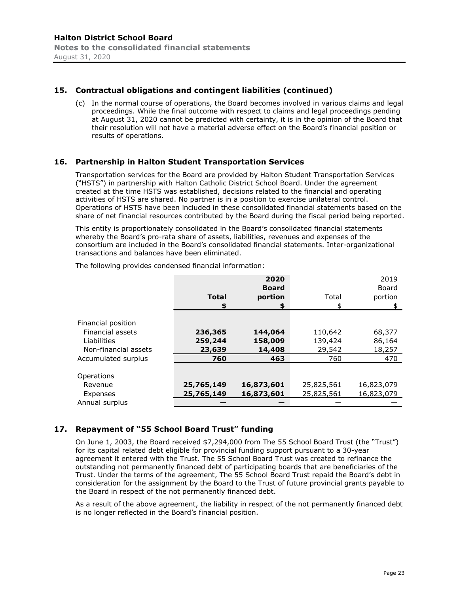#### **15. Contractual obligations and contingent liabilities (continued)**

(c) In the normal course of operations, the Board becomes involved in various claims and legal proceedings. While the final outcome with respect to claims and legal proceedings pending at August 31, 2020 cannot be predicted with certainty, it is in the opinion of the Board that their resolution will not have a material adverse effect on the Board's financial position or results of operations.

#### **16. Partnership in Halton Student Transportation Services**

Transportation services for the Board are provided by Halton Student Transportation Services ("HSTS") in partnership with Halton Catholic District School Board. Under the agreement created at the time HSTS was established, decisions related to the financial and operating activities of HSTS are shared. No partner is in a position to exercise unilateral control. Operations of HSTS have been included in these consolidated financial statements based on the share of net financial resources contributed by the Board during the fiscal period being reported.

This entity is proportionately consolidated in the Board's consolidated financial statements whereby the Board's pro-rata share of assets, liabilities, revenues and expenses of the consortium are included in the Board's consolidated financial statements. Inter-organizational transactions and balances have been eliminated.

|                      |              | 2020         |            | 2019       |
|----------------------|--------------|--------------|------------|------------|
|                      |              | <b>Board</b> |            | Board      |
|                      | <b>Total</b> | portion      | Total      | portion    |
|                      | \$           | \$           | \$         | \$         |
|                      |              |              |            |            |
| Financial position   |              |              |            |            |
| Financial assets     | 236,365      | 144,064      | 110,642    | 68,377     |
| Liabilities          | 259,244      | 158,009      | 139,424    | 86,164     |
| Non-financial assets | 23,639       | 14,408       | 29,542     | 18,257     |
| Accumulated surplus  | 760          | 463          | 760        | 470        |
|                      |              |              |            |            |
| Operations           |              |              |            |            |
| Revenue              | 25,765,149   | 16,873,601   | 25,825,561 | 16,823,079 |
| Expenses             | 25,765,149   | 16,873,601   | 25,825,561 | 16,823,079 |
| Annual surplus       |              |              |            |            |

The following provides condensed financial information:

# **17. Repayment of "55 School Board Trust" funding**

On June 1, 2003, the Board received \$7,294,000 from The 55 School Board Trust (the "Trust") for its capital related debt eligible for provincial funding support pursuant to a 30-year agreement it entered with the Trust. The 55 School Board Trust was created to refinance the outstanding not permanently financed debt of participating boards that are beneficiaries of the Trust. Under the terms of the agreement, The 55 School Board Trust repaid the Board's debt in consideration for the assignment by the Board to the Trust of future provincial grants payable to the Board in respect of the not permanently financed debt.

As a result of the above agreement, the liability in respect of the not permanently financed debt is no longer reflected in the Board's financial position.